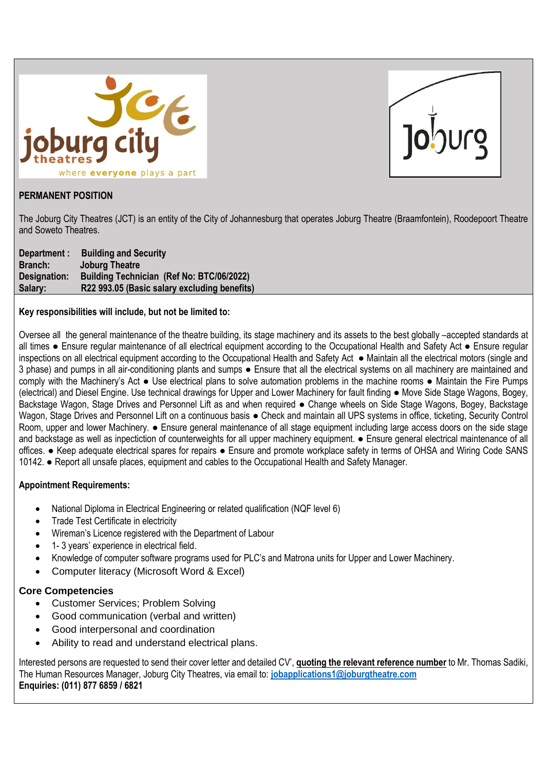



# **PERMANENT POSITION**

The Joburg City Theatres (JCT) is an entity of the City of Johannesburg that operates Joburg Theatre (Braamfontein), Roodepoort Theatre and Soweto Theatres.

| Department : | <b>Building and Security</b>                 |
|--------------|----------------------------------------------|
| Branch:      | <b>Joburg Theatre</b>                        |
| Designation: | Building Technician (Ref No: BTC/06/2022)    |
| Salary:      | R22 993.05 (Basic salary excluding benefits) |

## **Key responsibilities will include, but not be limited to:**

Oversee all the general maintenance of the theatre building, its stage machinery and its assets to the best globally –accepted standards at all times ● Ensure regular maintenance of all electrical equipment according to the Occupational Health and Safety Act ● Ensure regular inspections on all electrical equipment according to the Occupational Health and Safety Act ● Maintain all the electrical motors (single and 3 phase) and pumps in all air-conditioning plants and sumps ● Ensure that all the electrical systems on all machinery are maintained and comply with the Machinery's Act ● Use electrical plans to solve automation problems in the machine rooms ● Maintain the Fire Pumps (electrical) and Diesel Engine. Use technical drawings for Upper and Lower Machinery for fault finding ● Move Side Stage Wagons, Bogey, Backstage Wagon, Stage Drives and Personnel Lift as and when required ● Change wheels on Side Stage Wagons, Bogey, Backstage Wagon, Stage Drives and Personnel Lift on a continuous basis ● Check and maintain all UPS systems in office, ticketing, Security Control Room, upper and lower Machinery. • Ensure general maintenance of all stage equipment including large access doors on the side stage and backstage as well as inpectiction of counterweights for all upper machinery equipment. ● Ensure general electrical maintenance of all offices. ● Keep adequate electrical spares for repairs ● Ensure and promote workplace safety in terms of OHSA and Wiring Code SANS 10142. ● Report all unsafe places, equipment and cables to the Occupational Health and Safety Manager.

# **Appointment Requirements:**

- National Diploma in Electrical Engineering or related qualification (NQF level 6)
- Trade Test Certificate in electricity
- Wireman's Licence registered with the Department of Labour
- 1- 3 years' experience in electrical field.
- Knowledge of computer software programs used for PLC's and Matrona units for Upper and Lower Machinery.
- Computer literacy (Microsoft Word & Excel)

### **Core Competencies**

- Customer Services; Problem Solving
- Good communication (verbal and written)
- Good interpersonal and coordination
- Ability to read and understand electrical plans.

Interested persons are requested to send their cover letter and detailed CV', **quoting the relevant reference number** to Mr. Thomas Sadiki, The Human Resources Manager, Joburg City Theatres, via email to: **[jobapplications1@joburgtheatre.com](mailto:jobapplications1@joburgtheatre.com) Enquiries: (011) 877 6859 / 6821**